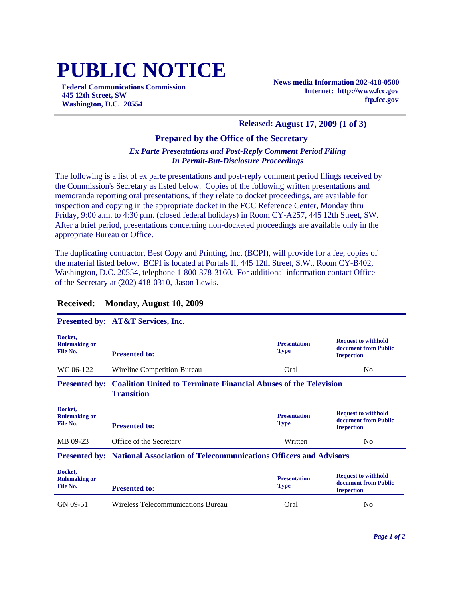# **PUBLIC NOTICE**

**Federal Communications Commission 445 12th Street, SW Washington, D.C. 20554**

**News media Information 202-418-0500 Internet: http://www.fcc.gov ftp.fcc.gov**

## **Released: August 17, 2009 (1 of 3)**

### **Prepared by the Office of the Secretary**

## *Ex Parte Presentations and Post-Reply Comment Period Filing In Permit-But-Disclosure Proceedings*

The following is a list of ex parte presentations and post-reply comment period filings received by the Commission's Secretary as listed below. Copies of the following written presentations and memoranda reporting oral presentations, if they relate to docket proceedings, are available for inspection and copying in the appropriate docket in the FCC Reference Center, Monday thru Friday, 9:00 a.m. to 4:30 p.m. (closed federal holidays) in Room CY-A257, 445 12th Street, SW. After a brief period, presentations concerning non-docketed proceedings are available only in the appropriate Bureau or Office.

The duplicating contractor, Best Copy and Printing, Inc. (BCPI), will provide for a fee, copies of the material listed below. BCPI is located at Portals II, 445 12th Street, S.W., Room CY-B402, Washington, D.C. 20554, telephone 1-800-378-3160. For additional information contact Office of the Secretary at (202) 418-0310, Jason Lewis.

#### **Presented by: AT&T Services, Inc. Docket, Rulemaking or File No. Presentation Type Request to withhold document from Public Presented to: Inspection Inspection Inspection** WC 06-122 Wireline Competition Bureau Coral Coral No No **Presented by: Coalition United to Terminate Financial Abuses of the Television Transition Docket, Rulemaking or File No. Presentation Type Request to withhold document from Public Presented to: Inspection** MB 09-23 Office of the Secretary Written No Office of the Secretary No Office  $\lambda$  Office of the Secretary No Office and  $\lambda$  Office of the Secretary No Office and  $\lambda$  Office of the Secretary No Office and  $\lambda$  Office and **Presented by: National Association of Telecommunications Officers and Advisors Docket, Rulemaking or File No. Presentation Type Request to withhold document from Public Presented to: Inspection** GN 09-51 Wireless Telecommunications Bureau Cral Oral No

## **Received: Monday, August 10, 2009**